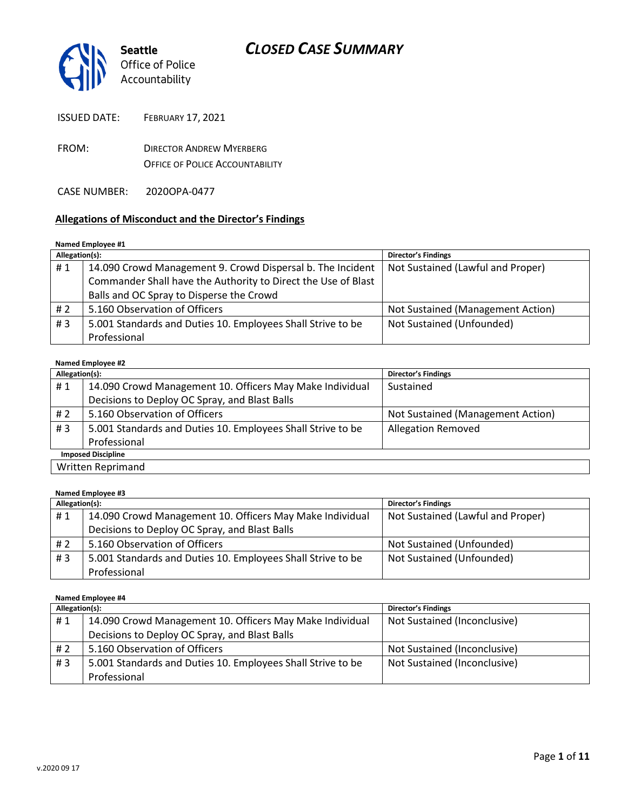

ISSUED DATE: FEBRUARY 17, 2021

FROM: DIRECTOR ANDREW MYERBERG OFFICE OF POLICE ACCOUNTABILITY

CASE NUMBER: 2020OPA-0477

### **Allegations of Misconduct and the Director's Findings**

#### **Named Employee #1**

| Allegation(s): |                                                               | Director's Findings               |
|----------------|---------------------------------------------------------------|-----------------------------------|
| #1             | 14.090 Crowd Management 9. Crowd Dispersal b. The Incident    | Not Sustained (Lawful and Proper) |
|                | Commander Shall have the Authority to Direct the Use of Blast |                                   |
|                | Balls and OC Spray to Disperse the Crowd                      |                                   |
| # 2            | 5.160 Observation of Officers                                 | Not Sustained (Management Action) |
| #3             | 5.001 Standards and Duties 10. Employees Shall Strive to be   | Not Sustained (Unfounded)         |
|                | Professional                                                  |                                   |

#### **Named Employee #2**

| Allegation(s):            |                                                             | <b>Director's Findings</b>        |  |  |
|---------------------------|-------------------------------------------------------------|-----------------------------------|--|--|
| #1                        | 14.090 Crowd Management 10. Officers May Make Individual    | Sustained                         |  |  |
|                           | Decisions to Deploy OC Spray, and Blast Balls               |                                   |  |  |
| #2                        | 5.160 Observation of Officers                               | Not Sustained (Management Action) |  |  |
| #3                        | 5.001 Standards and Duties 10. Employees Shall Strive to be | <b>Allegation Removed</b>         |  |  |
|                           | Professional                                                |                                   |  |  |
| <b>Imposed Discipline</b> |                                                             |                                   |  |  |
| Written Reprimand         |                                                             |                                   |  |  |

| Named Employee #3 |                                                             |                                   |  |  |
|-------------------|-------------------------------------------------------------|-----------------------------------|--|--|
| Allegation(s):    |                                                             | <b>Director's Findings</b>        |  |  |
| #1                | 14.090 Crowd Management 10. Officers May Make Individual    | Not Sustained (Lawful and Proper) |  |  |
|                   | Decisions to Deploy OC Spray, and Blast Balls               |                                   |  |  |
| #2                | 5.160 Observation of Officers                               | Not Sustained (Unfounded)         |  |  |
| #3                | 5.001 Standards and Duties 10. Employees Shall Strive to be | Not Sustained (Unfounded)         |  |  |
|                   | Professional                                                |                                   |  |  |

#### **Named Employee #4**

| Allegation(s): |                                                             | <b>Director's Findings</b>   |
|----------------|-------------------------------------------------------------|------------------------------|
| #1             | 14.090 Crowd Management 10. Officers May Make Individual    | Not Sustained (Inconclusive) |
|                | Decisions to Deploy OC Spray, and Blast Balls               |                              |
| # $2$          | 5.160 Observation of Officers                               | Not Sustained (Inconclusive) |
| #3             | 5.001 Standards and Duties 10. Employees Shall Strive to be | Not Sustained (Inconclusive) |
|                | Professional                                                |                              |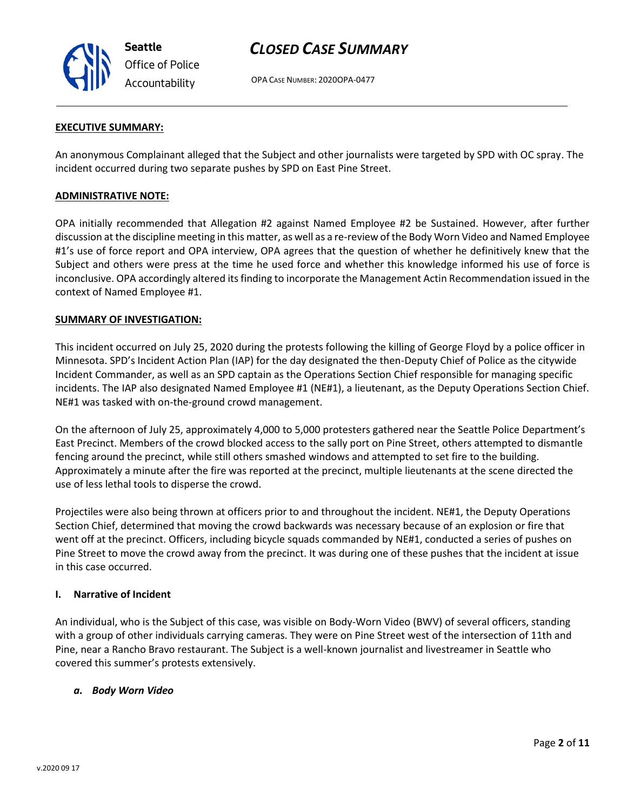

OPA CASE NUMBER: 2020OPA-0477

#### **EXECUTIVE SUMMARY:**

An anonymous Complainant alleged that the Subject and other journalists were targeted by SPD with OC spray. The incident occurred during two separate pushes by SPD on East Pine Street.

#### **ADMINISTRATIVE NOTE:**

OPA initially recommended that Allegation #2 against Named Employee #2 be Sustained. However, after further discussion at the discipline meeting in this matter, as well as a re-review of the Body Worn Video and Named Employee #1's use of force report and OPA interview, OPA agrees that the question of whether he definitively knew that the Subject and others were press at the time he used force and whether this knowledge informed his use of force is inconclusive. OPA accordingly altered its finding to incorporate the Management Actin Recommendation issued in the context of Named Employee #1.

#### **SUMMARY OF INVESTIGATION:**

This incident occurred on July 25, 2020 during the protests following the killing of George Floyd by a police officer in Minnesota. SPD's Incident Action Plan (IAP) for the day designated the then-Deputy Chief of Police as the citywide Incident Commander, as well as an SPD captain as the Operations Section Chief responsible for managing specific incidents. The IAP also designated Named Employee #1 (NE#1), a lieutenant, as the Deputy Operations Section Chief. NE#1 was tasked with on-the-ground crowd management.

On the afternoon of July 25, approximately 4,000 to 5,000 protesters gathered near the Seattle Police Department's East Precinct. Members of the crowd blocked access to the sally port on Pine Street, others attempted to dismantle fencing around the precinct, while still others smashed windows and attempted to set fire to the building. Approximately a minute after the fire was reported at the precinct, multiple lieutenants at the scene directed the use of less lethal tools to disperse the crowd.

Projectiles were also being thrown at officers prior to and throughout the incident. NE#1, the Deputy Operations Section Chief, determined that moving the crowd backwards was necessary because of an explosion or fire that went off at the precinct. Officers, including bicycle squads commanded by NE#1, conducted a series of pushes on Pine Street to move the crowd away from the precinct. It was during one of these pushes that the incident at issue in this case occurred.

#### **I. Narrative of Incident**

An individual, who is the Subject of this case, was visible on Body-Worn Video (BWV) of several officers, standing with a group of other individuals carrying cameras. They were on Pine Street west of the intersection of 11th and Pine, near a Rancho Bravo restaurant. The Subject is a well-known journalist and livestreamer in Seattle who covered this summer's protests extensively.

### *a. Body Worn Video*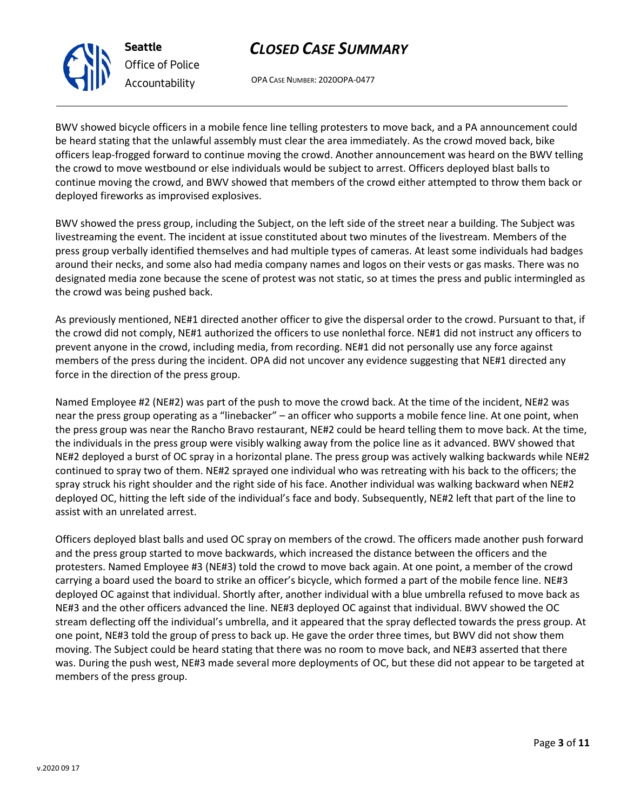OPA CASE NUMBER: 2020OPA-0477

BWV showed bicycle officers in a mobile fence line telling protesters to move back, and a PA announcement could be heard stating that the unlawful assembly must clear the area immediately. As the crowd moved back, bike officers leap-frogged forward to continue moving the crowd. Another announcement was heard on the BWV telling the crowd to move westbound or else individuals would be subject to arrest. Officers deployed blast balls to continue moving the crowd, and BWV showed that members of the crowd either attempted to throw them back or deployed fireworks as improvised explosives.

BWV showed the press group, including the Subject, on the left side of the street near a building. The Subject was livestreaming the event. The incident at issue constituted about two minutes of the livestream. Members of the press group verbally identified themselves and had multiple types of cameras. At least some individuals had badges around their necks, and some also had media company names and logos on their vests or gas masks. There was no designated media zone because the scene of protest was not static, so at times the press and public intermingled as the crowd was being pushed back.

As previously mentioned, NE#1 directed another officer to give the dispersal order to the crowd. Pursuant to that, if the crowd did not comply, NE#1 authorized the officers to use nonlethal force. NE#1 did not instruct any officers to prevent anyone in the crowd, including media, from recording. NE#1 did not personally use any force against members of the press during the incident. OPA did not uncover any evidence suggesting that NE#1 directed any force in the direction of the press group.

Named Employee #2 (NE#2) was part of the push to move the crowd back. At the time of the incident, NE#2 was near the press group operating as a "linebacker" – an officer who supports a mobile fence line. At one point, when the press group was near the Rancho Bravo restaurant, NE#2 could be heard telling them to move back. At the time, the individuals in the press group were visibly walking away from the police line as it advanced. BWV showed that NE#2 deployed a burst of OC spray in a horizontal plane. The press group was actively walking backwards while NE#2 continued to spray two of them. NE#2 sprayed one individual who was retreating with his back to the officers; the spray struck his right shoulder and the right side of his face. Another individual was walking backward when NE#2 deployed OC, hitting the left side of the individual's face and body. Subsequently, NE#2 left that part of the line to assist with an unrelated arrest.

Officers deployed blast balls and used OC spray on members of the crowd. The officers made another push forward and the press group started to move backwards, which increased the distance between the officers and the protesters. Named Employee #3 (NE#3) told the crowd to move back again. At one point, a member of the crowd carrying a board used the board to strike an officer's bicycle, which formed a part of the mobile fence line. NE#3 deployed OC against that individual. Shortly after, another individual with a blue umbrella refused to move back as NE#3 and the other officers advanced the line. NE#3 deployed OC against that individual. BWV showed the OC stream deflecting off the individual's umbrella, and it appeared that the spray deflected towards the press group. At one point, NE#3 told the group of press to back up. He gave the order three times, but BWV did not show them moving. The Subject could be heard stating that there was no room to move back, and NE#3 asserted that there was. During the push west, NE#3 made several more deployments of OC, but these did not appear to be targeted at members of the press group.



**Seattle** *Office of Police Accountability*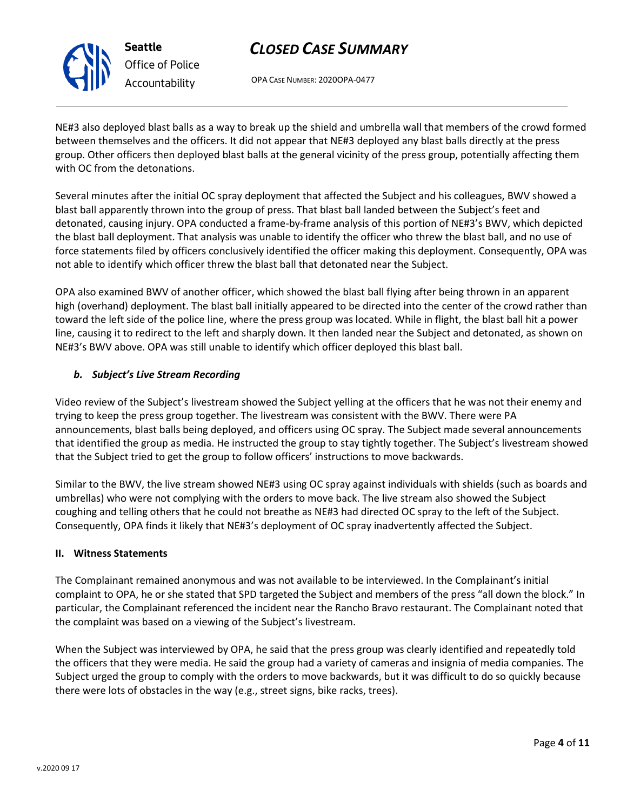

*Office of Police Accountability*

# *CLOSED CASE SUMMARY*

OPA CASE NUMBER: 2020OPA-0477

NE#3 also deployed blast balls as a way to break up the shield and umbrella wall that members of the crowd formed between themselves and the officers. It did not appear that NE#3 deployed any blast balls directly at the press group. Other officers then deployed blast balls at the general vicinity of the press group, potentially affecting them with OC from the detonations.

Several minutes after the initial OC spray deployment that affected the Subject and his colleagues, BWV showed a blast ball apparently thrown into the group of press. That blast ball landed between the Subject's feet and detonated, causing injury. OPA conducted a frame-by-frame analysis of this portion of NE#3's BWV, which depicted the blast ball deployment. That analysis was unable to identify the officer who threw the blast ball, and no use of force statements filed by officers conclusively identified the officer making this deployment. Consequently, OPA was not able to identify which officer threw the blast ball that detonated near the Subject.

OPA also examined BWV of another officer, which showed the blast ball flying after being thrown in an apparent high (overhand) deployment. The blast ball initially appeared to be directed into the center of the crowd rather than toward the left side of the police line, where the press group was located. While in flight, the blast ball hit a power line, causing it to redirect to the left and sharply down. It then landed near the Subject and detonated, as shown on NE#3's BWV above. OPA was still unable to identify which officer deployed this blast ball.

# *b. Subject's Live Stream Recording*

Video review of the Subject's livestream showed the Subject yelling at the officers that he was not their enemy and trying to keep the press group together. The livestream was consistent with the BWV. There were PA announcements, blast balls being deployed, and officers using OC spray. The Subject made several announcements that identified the group as media. He instructed the group to stay tightly together. The Subject's livestream showed that the Subject tried to get the group to follow officers' instructions to move backwards.

Similar to the BWV, the live stream showed NE#3 using OC spray against individuals with shields (such as boards and umbrellas) who were not complying with the orders to move back. The live stream also showed the Subject coughing and telling others that he could not breathe as NE#3 had directed OC spray to the left of the Subject. Consequently, OPA finds it likely that NE#3's deployment of OC spray inadvertently affected the Subject.

## **II. Witness Statements**

The Complainant remained anonymous and was not available to be interviewed. In the Complainant's initial complaint to OPA, he or she stated that SPD targeted the Subject and members of the press "all down the block." In particular, the Complainant referenced the incident near the Rancho Bravo restaurant. The Complainant noted that the complaint was based on a viewing of the Subject's livestream.

When the Subject was interviewed by OPA, he said that the press group was clearly identified and repeatedly told the officers that they were media. He said the group had a variety of cameras and insignia of media companies. The Subject urged the group to comply with the orders to move backwards, but it was difficult to do so quickly because there were lots of obstacles in the way (e.g., street signs, bike racks, trees).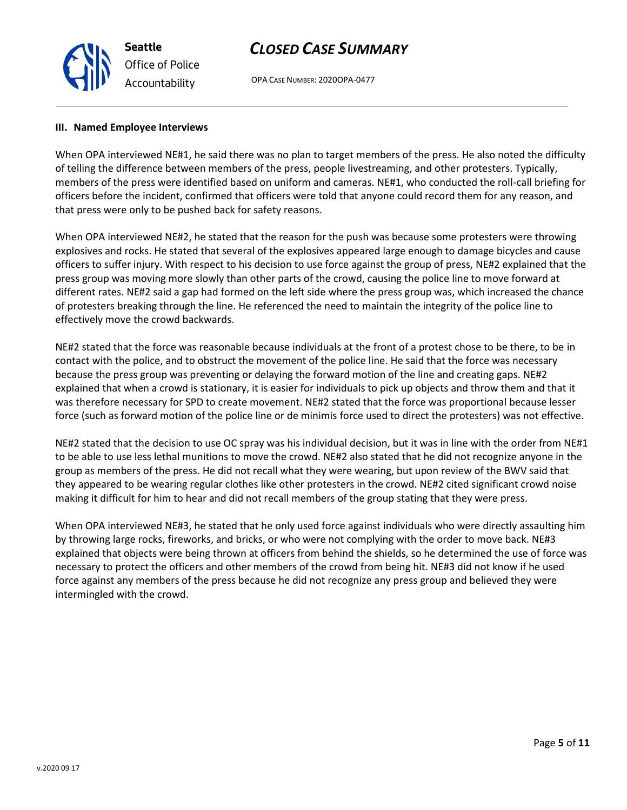OPA CASE NUMBER: 2020OPA-0477

# **III. Named Employee Interviews**

**Seattle**

*Office of Police Accountability*

When OPA interviewed NE#1, he said there was no plan to target members of the press. He also noted the difficulty of telling the difference between members of the press, people livestreaming, and other protesters. Typically, members of the press were identified based on uniform and cameras. NE#1, who conducted the roll-call briefing for officers before the incident, confirmed that officers were told that anyone could record them for any reason, and that press were only to be pushed back for safety reasons.

When OPA interviewed NE#2, he stated that the reason for the push was because some protesters were throwing explosives and rocks. He stated that several of the explosives appeared large enough to damage bicycles and cause officers to suffer injury. With respect to his decision to use force against the group of press, NE#2 explained that the press group was moving more slowly than other parts of the crowd, causing the police line to move forward at different rates. NE#2 said a gap had formed on the left side where the press group was, which increased the chance of protesters breaking through the line. He referenced the need to maintain the integrity of the police line to effectively move the crowd backwards.

NE#2 stated that the force was reasonable because individuals at the front of a protest chose to be there, to be in contact with the police, and to obstruct the movement of the police line. He said that the force was necessary because the press group was preventing or delaying the forward motion of the line and creating gaps. NE#2 explained that when a crowd is stationary, it is easier for individuals to pick up objects and throw them and that it was therefore necessary for SPD to create movement. NE#2 stated that the force was proportional because lesser force (such as forward motion of the police line or de minimis force used to direct the protesters) was not effective.

NE#2 stated that the decision to use OC spray was his individual decision, but it was in line with the order from NE#1 to be able to use less lethal munitions to move the crowd. NE#2 also stated that he did not recognize anyone in the group as members of the press. He did not recall what they were wearing, but upon review of the BWV said that they appeared to be wearing regular clothes like other protesters in the crowd. NE#2 cited significant crowd noise making it difficult for him to hear and did not recall members of the group stating that they were press.

When OPA interviewed NE#3, he stated that he only used force against individuals who were directly assaulting him by throwing large rocks, fireworks, and bricks, or who were not complying with the order to move back. NE#3 explained that objects were being thrown at officers from behind the shields, so he determined the use of force was necessary to protect the officers and other members of the crowd from being hit. NE#3 did not know if he used force against any members of the press because he did not recognize any press group and believed they were intermingled with the crowd.

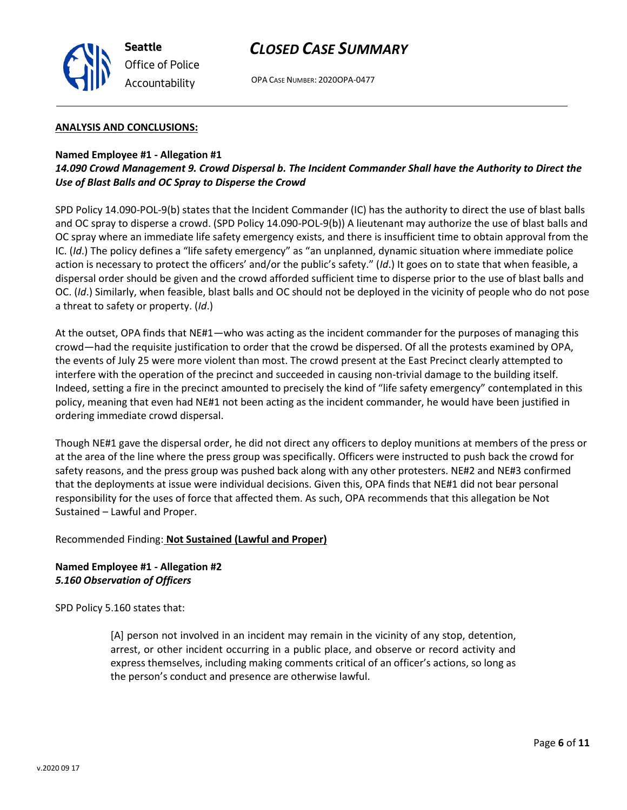

OPA CASE NUMBER: 2020OPA-0477

#### **ANALYSIS AND CONCLUSIONS:**

#### **Named Employee #1 - Allegation #1**

### *14.090 Crowd Management 9. Crowd Dispersal b. The Incident Commander Shall have the Authority to Direct the Use of Blast Balls and OC Spray to Disperse the Crowd*

SPD Policy 14.090-POL-9(b) states that the Incident Commander (IC) has the authority to direct the use of blast balls and OC spray to disperse a crowd. (SPD Policy 14.090-POL-9(b)) A lieutenant may authorize the use of blast balls and OC spray where an immediate life safety emergency exists, and there is insufficient time to obtain approval from the IC. (*Id*.) The policy defines a "life safety emergency" as "an unplanned, dynamic situation where immediate police action is necessary to protect the officers' and/or the public's safety." (*Id*.) It goes on to state that when feasible, a dispersal order should be given and the crowd afforded sufficient time to disperse prior to the use of blast balls and OC. (*Id*.) Similarly, when feasible, blast balls and OC should not be deployed in the vicinity of people who do not pose a threat to safety or property. (*Id*.)

At the outset, OPA finds that NE#1—who was acting as the incident commander for the purposes of managing this crowd—had the requisite justification to order that the crowd be dispersed. Of all the protests examined by OPA, the events of July 25 were more violent than most. The crowd present at the East Precinct clearly attempted to interfere with the operation of the precinct and succeeded in causing non-trivial damage to the building itself. Indeed, setting a fire in the precinct amounted to precisely the kind of "life safety emergency" contemplated in this policy, meaning that even had NE#1 not been acting as the incident commander, he would have been justified in ordering immediate crowd dispersal.

Though NE#1 gave the dispersal order, he did not direct any officers to deploy munitions at members of the press or at the area of the line where the press group was specifically. Officers were instructed to push back the crowd for safety reasons, and the press group was pushed back along with any other protesters. NE#2 and NE#3 confirmed that the deployments at issue were individual decisions. Given this, OPA finds that NE#1 did not bear personal responsibility for the uses of force that affected them. As such, OPA recommends that this allegation be Not Sustained – Lawful and Proper.

#### Recommended Finding: **Not Sustained (Lawful and Proper)**

#### **Named Employee #1 - Allegation #2** *5.160 Observation of Officers*

SPD Policy 5.160 states that:

[A] person not involved in an incident may remain in the vicinity of any stop, detention, arrest, or other incident occurring in a public place, and observe or record activity and express themselves, including making comments critical of an officer's actions, so long as the person's conduct and presence are otherwise lawful.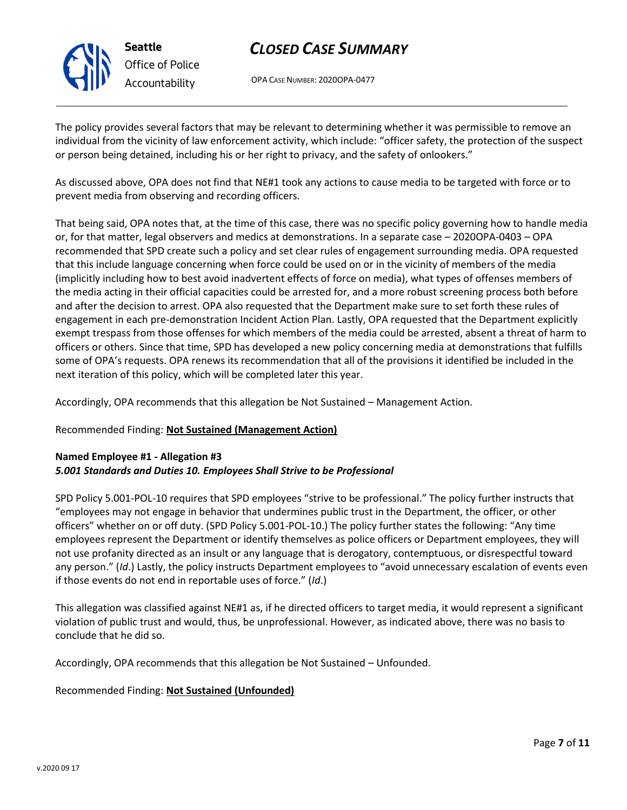

**Seattle** *Office of Police Accountability*

# *CLOSED CASE SUMMARY*

OPA CASE NUMBER: 2020OPA-0477

The policy provides several factors that may be relevant to determining whether it was permissible to remove an individual from the vicinity of law enforcement activity, which include: "officer safety, the protection of the suspect or person being detained, including his or her right to privacy, and the safety of onlookers."

As discussed above, OPA does not find that NE#1 took any actions to cause media to be targeted with force or to prevent media from observing and recording officers.

That being said, OPA notes that, at the time of this case, there was no specific policy governing how to handle media or, for that matter, legal observers and medics at demonstrations. In a separate case – 2020OPA-0403 – OPA recommended that SPD create such a policy and set clear rules of engagement surrounding media. OPA requested that this include language concerning when force could be used on or in the vicinity of members of the media (implicitly including how to best avoid inadvertent effects of force on media), what types of offenses members of the media acting in their official capacities could be arrested for, and a more robust screening process both before and after the decision to arrest. OPA also requested that the Department make sure to set forth these rules of engagement in each pre-demonstration Incident Action Plan. Lastly, OPA requested that the Department explicitly exempt trespass from those offenses for which members of the media could be arrested, absent a threat of harm to officers or others. Since that time, SPD has developed a new policy concerning media at demonstrations that fulfills some of OPA's requests. OPA renews its recommendation that all of the provisions it identified be included in the next iteration of this policy, which will be completed later this year.

Accordingly, OPA recommends that this allegation be Not Sustained – Management Action.

## Recommended Finding: **Not Sustained (Management Action)**

### **Named Employee #1 - Allegation #3** *5.001 Standards and Duties 10. Employees Shall Strive to be Professional*

SPD Policy 5.001-POL-10 requires that SPD employees "strive to be professional." The policy further instructs that "employees may not engage in behavior that undermines public trust in the Department, the officer, or other officers" whether on or off duty. (SPD Policy 5.001-POL-10.) The policy further states the following: "Any time employees represent the Department or identify themselves as police officers or Department employees, they will not use profanity directed as an insult or any language that is derogatory, contemptuous, or disrespectful toward any person." (*Id*.) Lastly, the policy instructs Department employees to "avoid unnecessary escalation of events even if those events do not end in reportable uses of force." (*Id*.)

This allegation was classified against NE#1 as, if he directed officers to target media, it would represent a significant violation of public trust and would, thus, be unprofessional. However, as indicated above, there was no basis to conclude that he did so.

Accordingly, OPA recommends that this allegation be Not Sustained – Unfounded.

## Recommended Finding: **Not Sustained (Unfounded)**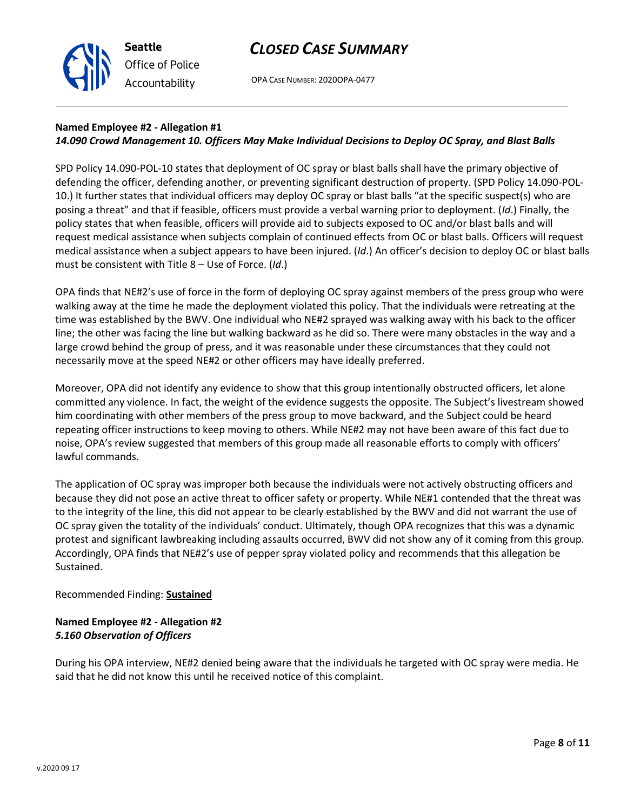

OPA CASE NUMBER: 2020OPA-0477

### **Named Employee #2 - Allegation #1** *14.090 Crowd Management 10. Officers May Make Individual Decisions to Deploy OC Spray, and Blast Balls*

SPD Policy 14.090-POL-10 states that deployment of OC spray or blast balls shall have the primary objective of defending the officer, defending another, or preventing significant destruction of property. (SPD Policy 14.090-POL-10.) It further states that individual officers may deploy OC spray or blast balls "at the specific suspect(s) who are posing a threat" and that if feasible, officers must provide a verbal warning prior to deployment. (*Id*.) Finally, the policy states that when feasible, officers will provide aid to subjects exposed to OC and/or blast balls and will request medical assistance when subjects complain of continued effects from OC or blast balls. Officers will request medical assistance when a subject appears to have been injured. (*Id*.) An officer's decision to deploy OC or blast balls must be consistent with Title 8 – Use of Force. (*Id*.)

OPA finds that NE#2's use of force in the form of deploying OC spray against members of the press group who were walking away at the time he made the deployment violated this policy. That the individuals were retreating at the time was established by the BWV. One individual who NE#2 sprayed was walking away with his back to the officer line; the other was facing the line but walking backward as he did so. There were many obstacles in the way and a large crowd behind the group of press, and it was reasonable under these circumstances that they could not necessarily move at the speed NE#2 or other officers may have ideally preferred.

Moreover, OPA did not identify any evidence to show that this group intentionally obstructed officers, let alone committed any violence. In fact, the weight of the evidence suggests the opposite. The Subject's livestream showed him coordinating with other members of the press group to move backward, and the Subject could be heard repeating officer instructions to keep moving to others. While NE#2 may not have been aware of this fact due to noise, OPA's review suggested that members of this group made all reasonable efforts to comply with officers' lawful commands.

The application of OC spray was improper both because the individuals were not actively obstructing officers and because they did not pose an active threat to officer safety or property. While NE#1 contended that the threat was to the integrity of the line, this did not appear to be clearly established by the BWV and did not warrant the use of OC spray given the totality of the individuals' conduct. Ultimately, though OPA recognizes that this was a dynamic protest and significant lawbreaking including assaults occurred, BWV did not show any of it coming from this group. Accordingly, OPA finds that NE#2's use of pepper spray violated policy and recommends that this allegation be Sustained.

## Recommended Finding: **Sustained**

## **Named Employee #2 - Allegation #2** *5.160 Observation of Officers*

During his OPA interview, NE#2 denied being aware that the individuals he targeted with OC spray were media. He said that he did not know this until he received notice of this complaint.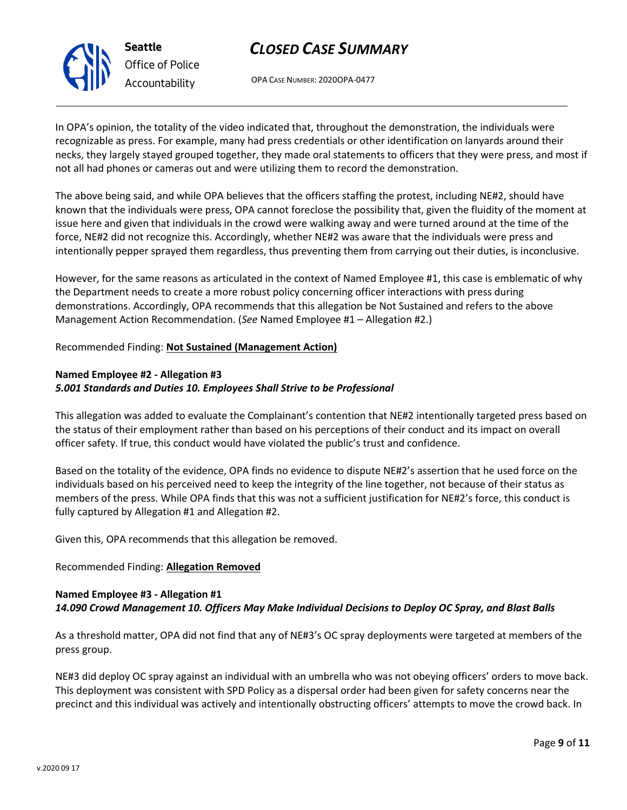

**Seattle** *Office of Police Accountability*

# *CLOSED CASE SUMMARY*

OPA CASE NUMBER: 2020OPA-0477

In OPA's opinion, the totality of the video indicated that, throughout the demonstration, the individuals were recognizable as press. For example, many had press credentials or other identification on lanyards around their necks, they largely stayed grouped together, they made oral statements to officers that they were press, and most if not all had phones or cameras out and were utilizing them to record the demonstration.

The above being said, and while OPA believes that the officers staffing the protest, including NE#2, should have known that the individuals were press, OPA cannot foreclose the possibility that, given the fluidity of the moment at issue here and given that individuals in the crowd were walking away and were turned around at the time of the force, NE#2 did not recognize this. Accordingly, whether NE#2 was aware that the individuals were press and intentionally pepper sprayed them regardless, thus preventing them from carrying out their duties, is inconclusive.

However, for the same reasons as articulated in the context of Named Employee #1, this case is emblematic of why the Department needs to create a more robust policy concerning officer interactions with press during demonstrations. Accordingly, OPA recommends that this allegation be Not Sustained and refers to the above Management Action Recommendation. (*See* Named Employee #1 – Allegation #2.)

## Recommended Finding: **Not Sustained (Management Action)**

# **Named Employee #2 - Allegation #3** *5.001 Standards and Duties 10. Employees Shall Strive to be Professional*

This allegation was added to evaluate the Complainant's contention that NE#2 intentionally targeted press based on the status of their employment rather than based on his perceptions of their conduct and its impact on overall officer safety. If true, this conduct would have violated the public's trust and confidence.

Based on the totality of the evidence, OPA finds no evidence to dispute NE#2's assertion that he used force on the individuals based on his perceived need to keep the integrity of the line together, not because of their status as members of the press. While OPA finds that this was not a sufficient justification for NE#2's force, this conduct is fully captured by Allegation #1 and Allegation #2.

Given this, OPA recommends that this allegation be removed.

## Recommended Finding: **Allegation Removed**

### **Named Employee #3 - Allegation #1** *14.090 Crowd Management 10. Officers May Make Individual Decisions to Deploy OC Spray, and Blast Balls*

As a threshold matter, OPA did not find that any of NE#3's OC spray deployments were targeted at members of the press group.

NE#3 did deploy OC spray against an individual with an umbrella who was not obeying officers' orders to move back. This deployment was consistent with SPD Policy as a dispersal order had been given for safety concerns near the precinct and this individual was actively and intentionally obstructing officers' attempts to move the crowd back. In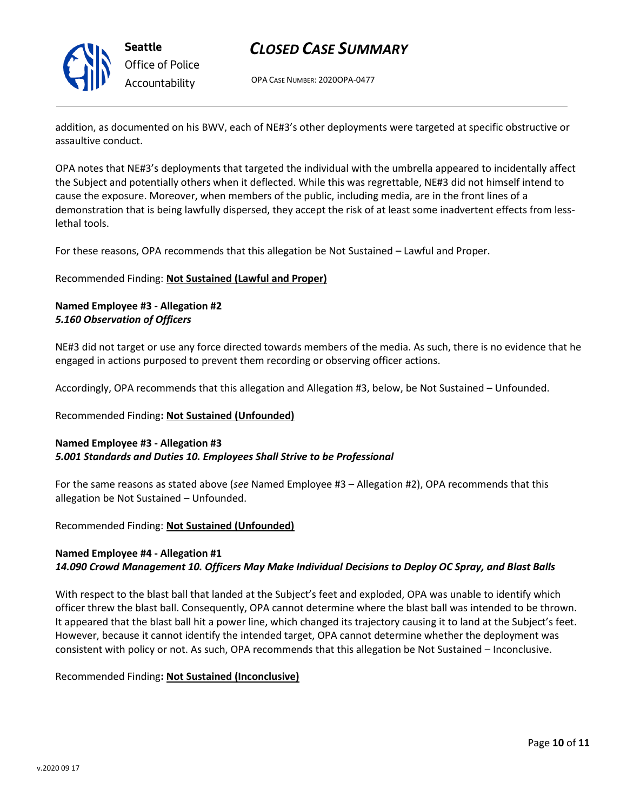

OPA CASE NUMBER: 2020OPA-0477

addition, as documented on his BWV, each of NE#3's other deployments were targeted at specific obstructive or assaultive conduct.

OPA notes that NE#3's deployments that targeted the individual with the umbrella appeared to incidentally affect the Subject and potentially others when it deflected. While this was regrettable, NE#3 did not himself intend to cause the exposure. Moreover, when members of the public, including media, are in the front lines of a demonstration that is being lawfully dispersed, they accept the risk of at least some inadvertent effects from lesslethal tools.

For these reasons, OPA recommends that this allegation be Not Sustained – Lawful and Proper.

Recommended Finding: **Not Sustained (Lawful and Proper)**

### **Named Employee #3 - Allegation #2** *5.160 Observation of Officers*

NE#3 did not target or use any force directed towards members of the media. As such, there is no evidence that he engaged in actions purposed to prevent them recording or observing officer actions.

Accordingly, OPA recommends that this allegation and Allegation #3, below, be Not Sustained – Unfounded.

## Recommended Finding**: Not Sustained (Unfounded)**

### **Named Employee #3 - Allegation #3** *5.001 Standards and Duties 10. Employees Shall Strive to be Professional*

For the same reasons as stated above (*see* Named Employee #3 – Allegation #2), OPA recommends that this allegation be Not Sustained – Unfounded.

### Recommended Finding: **Not Sustained (Unfounded)**

## **Named Employee #4 - Allegation #1**

### *14.090 Crowd Management 10. Officers May Make Individual Decisions to Deploy OC Spray, and Blast Balls*

With respect to the blast ball that landed at the Subject's feet and exploded, OPA was unable to identify which officer threw the blast ball. Consequently, OPA cannot determine where the blast ball was intended to be thrown. It appeared that the blast ball hit a power line, which changed its trajectory causing it to land at the Subject's feet. However, because it cannot identify the intended target, OPA cannot determine whether the deployment was consistent with policy or not. As such, OPA recommends that this allegation be Not Sustained – Inconclusive.

### Recommended Finding**: Not Sustained (Inconclusive)**